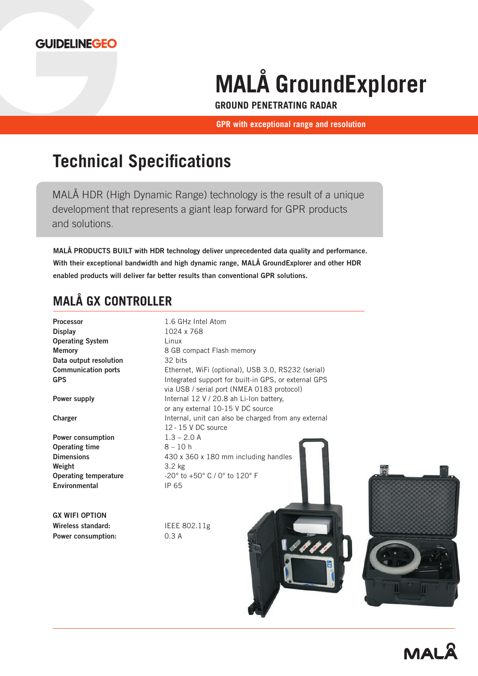

# **MALÅ GroundExplorer**

**GROUND PENETRATING RADAR**

**GPR with exceptional range and resolution**

# **Technical Specifications**

MALÅ HDR (High Dynamic Range) technology is the result of a unique development that represents a giant leap forward for GPR products and solutions.

MALÅ PRODUCTS BUILT with HDR technology deliver unprecedented data quality and performance. With their exceptional bandwidth and high dynamic range, MALÅ GroundExplorer and other HDR enabled products will deliver far better results than conventional GPR solutions.

### **MALÅ GX CONTROLLER**

| <b>Processor</b>             | 1.6 GHz Intel Atom                                   |  |  |
|------------------------------|------------------------------------------------------|--|--|
| <b>Display</b>               | 1024 x 768                                           |  |  |
| <b>Operating System</b>      | Linux                                                |  |  |
| <b>Memory</b>                | 8 GB compact Flash memory                            |  |  |
| Data output resolution       | 32 bits                                              |  |  |
| <b>Communication ports</b>   | Ethernet, WiFi (optional), USB 3.0, RS232 (serial)   |  |  |
| <b>GPS</b>                   | Integrated support for built-in GPS, or external GPS |  |  |
|                              | via USB / serial port (NMEA 0183 protocol)           |  |  |
| Power supply                 | Internal 12 V / 20.8 ah Li-Ion battery,              |  |  |
|                              | or any external 10-15 V DC source                    |  |  |
| <b>Charger</b>               | Internal, unit can also be charged from any external |  |  |
|                              | 12 - 15 V DC source                                  |  |  |
| Power consumption            | $1.3 - 2.0 A$                                        |  |  |
| <b>Operating time</b>        | $8 - 10h$                                            |  |  |
| <b>Dimensions</b>            | 430 x 360 x 180 mm including handles                 |  |  |
| Weight                       | 3.2 kg                                               |  |  |
| <b>Operating temperature</b> | -20° to +50° C / 0° to 120° F                        |  |  |
| Environmental                | IP 65                                                |  |  |
|                              |                                                      |  |  |
|                              |                                                      |  |  |
| <b>GX WIFI OPTION</b>        |                                                      |  |  |
| Wireless standard:           | IEEE 802.11g                                         |  |  |
| Power consumption:           | 0.3A                                                 |  |  |
|                              |                                                      |  |  |
|                              |                                                      |  |  |
|                              |                                                      |  |  |
|                              |                                                      |  |  |
|                              |                                                      |  |  |
|                              |                                                      |  |  |
|                              |                                                      |  |  |
|                              |                                                      |  |  |